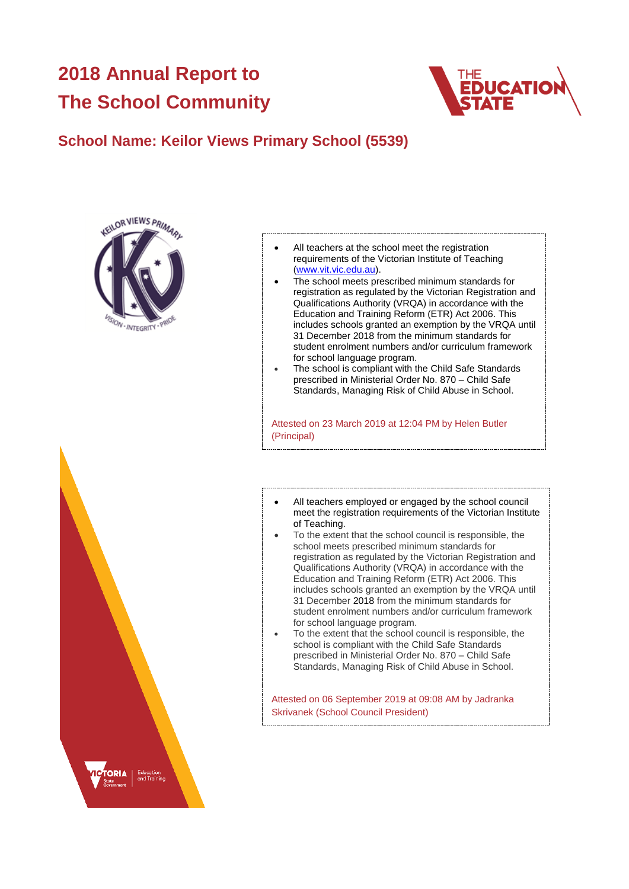# **2018 Annual Report to The School Community**



# **School Name: Keilor Views Primary School (5539)**





- All teachers at the school meet the registration requirements of the Victorian Institute of Teaching [\(www.vit.vic.edu.au\)](https://www.vit.vic.edu.au/).
- The school meets prescribed minimum standards for registration as regulated by the Victorian Registration and Qualifications Authority (VRQA) in accordance with the Education and Training Reform (ETR) Act 2006. This includes schools granted an exemption by the VRQA until 31 December 2018 from the minimum standards for student enrolment numbers and/or curriculum framework for school language program.
- The school is compliant with the Child Safe Standards prescribed in Ministerial Order No. 870 – Child Safe Standards, Managing Risk of Child Abuse in School.

Attested on 23 March 2019 at 12:04 PM by Helen Butler (Principal)

- All teachers employed or engaged by the school council meet the registration requirements of the Victorian Institute of Teaching.
- To the extent that the school council is responsible, the school meets prescribed minimum standards for registration as regulated by the Victorian Registration and Qualifications Authority (VRQA) in accordance with the Education and Training Reform (ETR) Act 2006. This includes schools granted an exemption by the VRQA until 31 December 2018 from the minimum standards for student enrolment numbers and/or curriculum framework for school language program.
- To the extent that the school council is responsible, the school is compliant with the Child Safe Standards prescribed in Ministerial Order No. 870 – Child Safe Standards, Managing Risk of Child Abuse in School.

Attested on 06 September 2019 at 09:08 AM by Jadranka Skrivanek (School Council President)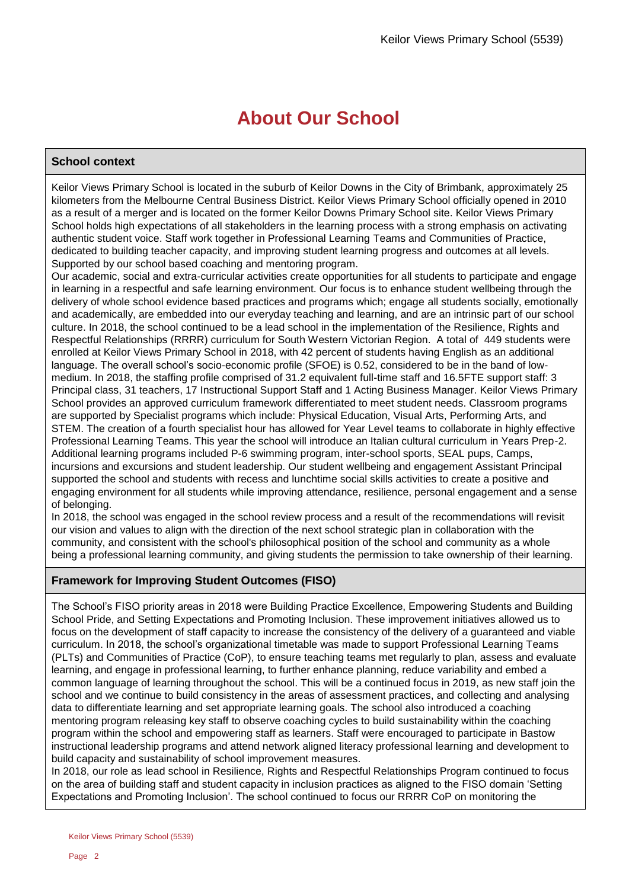# **About Our School**

### **School context**

Keilor Views Primary School is located in the suburb of Keilor Downs in the City of Brimbank, approximately 25 kilometers from the Melbourne Central Business District. Keilor Views Primary School officially opened in 2010 as a result of a merger and is located on the former Keilor Downs Primary School site. Keilor Views Primary School holds high expectations of all stakeholders in the learning process with a strong emphasis on activating authentic student voice. Staff work together in Professional Learning Teams and Communities of Practice, dedicated to building teacher capacity, and improving student learning progress and outcomes at all levels. Supported by our school based coaching and mentoring program.

Our academic, social and extra-curricular activities create opportunities for all students to participate and engage in learning in a respectful and safe learning environment. Our focus is to enhance student wellbeing through the delivery of whole school evidence based practices and programs which; engage all students socially, emotionally and academically, are embedded into our everyday teaching and learning, and are an intrinsic part of our school culture. In 2018, the school continued to be a lead school in the implementation of the Resilience, Rights and Respectful Relationships (RRRR) curriculum for South Western Victorian Region. A total of 449 students were enrolled at Keilor Views Primary School in 2018, with 42 percent of students having English as an additional language. The overall school's socio-economic profile (SFOE) is 0.52, considered to be in the band of lowmedium. In 2018, the staffing profile comprised of 31.2 equivalent full-time staff and 16.5FTE support staff: 3 Principal class, 31 teachers, 17 Instructional Support Staff and 1 Acting Business Manager. Keilor Views Primary School provides an approved curriculum framework differentiated to meet student needs. Classroom programs are supported by Specialist programs which include: Physical Education, Visual Arts, Performing Arts, and STEM. The creation of a fourth specialist hour has allowed for Year Level teams to collaborate in highly effective Professional Learning Teams. This year the school will introduce an Italian cultural curriculum in Years Prep-2. Additional learning programs included P-6 swimming program, inter-school sports, SEAL pups, Camps, incursions and excursions and student leadership. Our student wellbeing and engagement Assistant Principal supported the school and students with recess and lunchtime social skills activities to create a positive and engaging environment for all students while improving attendance, resilience, personal engagement and a sense of belonging.

In 2018, the school was engaged in the school review process and a result of the recommendations will revisit our vision and values to align with the direction of the next school strategic plan in collaboration with the community, and consistent with the school's philosophical position of the school and community as a whole being a professional learning community, and giving students the permission to take ownership of their learning.

### **Framework for Improving Student Outcomes (FISO)**

The School's FISO priority areas in 2018 were Building Practice Excellence, Empowering Students and Building School Pride, and Setting Expectations and Promoting Inclusion. These improvement initiatives allowed us to focus on the development of staff capacity to increase the consistency of the delivery of a guaranteed and viable curriculum. In 2018, the school's organizational timetable was made to support Professional Learning Teams (PLTs) and Communities of Practice (CoP), to ensure teaching teams met regularly to plan, assess and evaluate learning, and engage in professional learning, to further enhance planning, reduce variability and embed a common language of learning throughout the school. This will be a continued focus in 2019, as new staff join the school and we continue to build consistency in the areas of assessment practices, and collecting and analysing data to differentiate learning and set appropriate learning goals. The school also introduced a coaching mentoring program releasing key staff to observe coaching cycles to build sustainability within the coaching program within the school and empowering staff as learners. Staff were encouraged to participate in Bastow instructional leadership programs and attend network aligned literacy professional learning and development to build capacity and sustainability of school improvement measures.

In 2018, our role as lead school in Resilience, Rights and Respectful Relationships Program continued to focus on the area of building staff and student capacity in inclusion practices as aligned to the FISO domain 'Setting Expectations and Promoting Inclusion'. The school continued to focus our RRRR CoP on monitoring the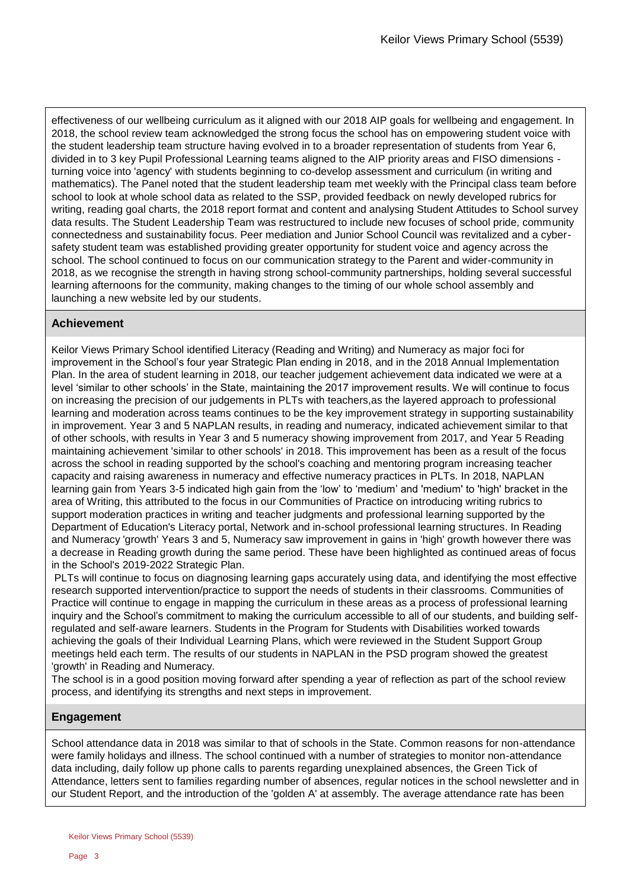effectiveness of our wellbeing curriculum as it aligned with our 2018 AIP goals for wellbeing and engagement. In 2018, the school review team acknowledged the strong focus the school has on empowering student voice with the student leadership team structure having evolved in to a broader representation of students from Year 6, divided in to 3 key Pupil Professional Learning teams aligned to the AIP priority areas and FISO dimensions turning voice into 'agency' with students beginning to co-develop assessment and curriculum (in writing and mathematics). The Panel noted that the student leadership team met weekly with the Principal class team before school to look at whole school data as related to the SSP, provided feedback on newly developed rubrics for writing, reading goal charts, the 2018 report format and content and analysing Student Attitudes to School survey data results. The Student Leadership Team was restructured to include new focuses of school pride, community connectedness and sustainability focus. Peer mediation and Junior School Council was revitalized and a cybersafety student team was established providing greater opportunity for student voice and agency across the school. The school continued to focus on our communication strategy to the Parent and wider-community in 2018, as we recognise the strength in having strong school-community partnerships, holding several successful learning afternoons for the community, making changes to the timing of our whole school assembly and launching a new website led by our students.

### **Achievement**

Keilor Views Primary School identified Literacy (Reading and Writing) and Numeracy as major foci for improvement in the School's four year Strategic Plan ending in 2018, and in the 2018 Annual Implementation Plan. In the area of student learning in 2018, our teacher judgement achievement data indicated we were at a level 'similar to other schools' in the State, maintaining the 2017 improvement results. We will continue to focus on increasing the precision of our judgements in PLTs with teachers,as the layered approach to professional learning and moderation across teams continues to be the key improvement strategy in supporting sustainability in improvement. Year 3 and 5 NAPLAN results, in reading and numeracy, indicated achievement similar to that of other schools, with results in Year 3 and 5 numeracy showing improvement from 2017, and Year 5 Reading maintaining achievement 'similar to other schools' in 2018. This improvement has been as a result of the focus across the school in reading supported by the school's coaching and mentoring program increasing teacher capacity and raising awareness in numeracy and effective numeracy practices in PLTs. In 2018, NAPLAN learning gain from Years 3-5 indicated high gain from the 'low' to 'medium' and 'medium' to 'high' bracket in the area of Writing, this attributed to the focus in our Communities of Practice on introducing writing rubrics to support moderation practices in writing and teacher judgments and professional learning supported by the Department of Education's Literacy portal, Network and in-school professional learning structures. In Reading and Numeracy 'growth' Years 3 and 5, Numeracy saw improvement in gains in 'high' growth however there was a decrease in Reading growth during the same period. These have been highlighted as continued areas of focus in the School's 2019-2022 Strategic Plan.

PLTs will continue to focus on diagnosing learning gaps accurately using data, and identifying the most effective research supported intervention/practice to support the needs of students in their classrooms. Communities of Practice will continue to engage in mapping the curriculum in these areas as a process of professional learning inquiry and the School's commitment to making the curriculum accessible to all of our students, and building selfregulated and self-aware learners. Students in the Program for Students with Disabilities worked towards achieving the goals of their Individual Learning Plans, which were reviewed in the Student Support Group meetings held each term. The results of our students in NAPLAN in the PSD program showed the greatest 'growth' in Reading and Numeracy.

The school is in a good position moving forward after spending a year of reflection as part of the school review process, and identifying its strengths and next steps in improvement.

### **Engagement**

School attendance data in 2018 was similar to that of schools in the State. Common reasons for non-attendance were family holidays and illness. The school continued with a number of strategies to monitor non-attendance data including, daily follow up phone calls to parents regarding unexplained absences, the Green Tick of Attendance, letters sent to families regarding number of absences, regular notices in the school newsletter and in our Student Report, and the introduction of the 'golden A' at assembly. The average attendance rate has been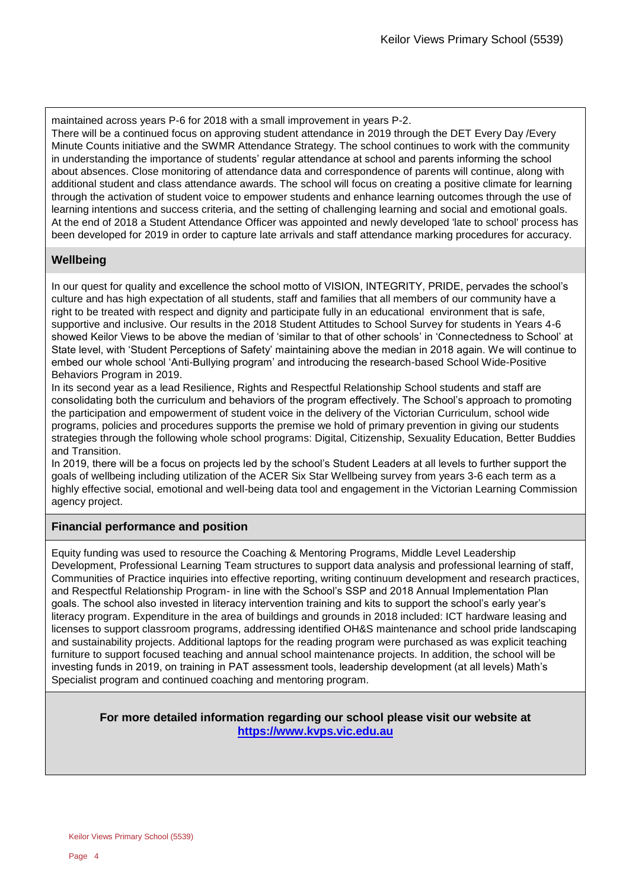maintained across years P-6 for 2018 with a small improvement in years P-2.

There will be a continued focus on approving student attendance in 2019 through the DET Every Day /Every Minute Counts initiative and the SWMR Attendance Strategy. The school continues to work with the community in understanding the importance of students' regular attendance at school and parents informing the school about absences. Close monitoring of attendance data and correspondence of parents will continue, along with additional student and class attendance awards. The school will focus on creating a positive climate for learning through the activation of student voice to empower students and enhance learning outcomes through the use of learning intentions and success criteria, and the setting of challenging learning and social and emotional goals. At the end of 2018 a Student Attendance Officer was appointed and newly developed 'late to school' process has been developed for 2019 in order to capture late arrivals and staff attendance marking procedures for accuracy.

### **Wellbeing**

In our quest for quality and excellence the school motto of VISION, INTEGRITY, PRIDE, pervades the school's culture and has high expectation of all students, staff and families that all members of our community have a right to be treated with respect and dignity and participate fully in an educational environment that is safe, supportive and inclusive. Our results in the 2018 Student Attitudes to School Survey for students in Years 4-6 showed Keilor Views to be above the median of 'similar to that of other schools' in 'Connectedness to School' at State level, with 'Student Perceptions of Safety' maintaining above the median in 2018 again. We will continue to embed our whole school 'Anti-Bullying program' and introducing the research-based School Wide-Positive Behaviors Program in 2019.

In its second year as a lead Resilience, Rights and Respectful Relationship School students and staff are consolidating both the curriculum and behaviors of the program effectively. The School's approach to promoting the participation and empowerment of student voice in the delivery of the Victorian Curriculum, school wide programs, policies and procedures supports the premise we hold of primary prevention in giving our students strategies through the following whole school programs: Digital, Citizenship, Sexuality Education, Better Buddies and Transition.

In 2019, there will be a focus on projects led by the school's Student Leaders at all levels to further support the goals of wellbeing including utilization of the ACER Six Star Wellbeing survey from years 3-6 each term as a highly effective social, emotional and well-being data tool and engagement in the Victorian Learning Commission agency project.

### **Financial performance and position**

Equity funding was used to resource the Coaching & Mentoring Programs, Middle Level Leadership Development, Professional Learning Team structures to support data analysis and professional learning of staff, Communities of Practice inquiries into effective reporting, writing continuum development and research practices, and Respectful Relationship Program- in line with the School's SSP and 2018 Annual Implementation Plan goals. The school also invested in literacy intervention training and kits to support the school's early year's literacy program. Expenditure in the area of buildings and grounds in 2018 included: ICT hardware leasing and licenses to support classroom programs, addressing identified OH&S maintenance and school pride landscaping and sustainability projects. Additional laptops for the reading program were purchased as was explicit teaching furniture to support focused teaching and annual school maintenance projects. In addition, the school will be investing funds in 2019, on training in PAT assessment tools, leadership development (at all levels) Math's Specialist program and continued coaching and mentoring program.

### **For more detailed information regarding our school please visit our website at [https://www.kvps.vic.edu.au](https://www.kvps.vic.edu.au/)**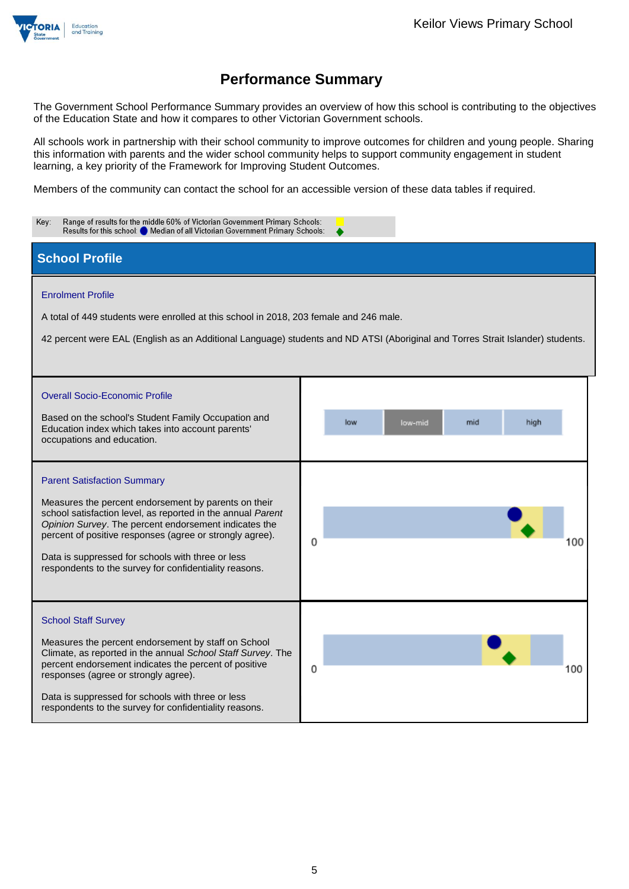

The Government School Performance Summary provides an overview of how this school is contributing to the objectives of the Education State and how it compares to other Victorian Government schools.

All schools work in partnership with their school community to improve outcomes for children and young people. Sharing this information with parents and the wider school community helps to support community engagement in student learning, a key priority of the Framework for Improving Student Outcomes.

Members of the community can contact the school for an accessible version of these data tables if required.

| Key:<br>Range of results for the middle 60% of Victorian Government Primary Schools:<br>Results for this school: O Median of all Victorian Government Primary Schools:                                                                                                                                                                                                                        |                                                                                                                                |  |  |  |  |
|-----------------------------------------------------------------------------------------------------------------------------------------------------------------------------------------------------------------------------------------------------------------------------------------------------------------------------------------------------------------------------------------------|--------------------------------------------------------------------------------------------------------------------------------|--|--|--|--|
| <b>School Profile</b>                                                                                                                                                                                                                                                                                                                                                                         |                                                                                                                                |  |  |  |  |
| <b>Enrolment Profile</b><br>A total of 449 students were enrolled at this school in 2018, 203 female and 246 male.                                                                                                                                                                                                                                                                            | 42 percent were EAL (English as an Additional Language) students and ND ATSI (Aboriginal and Torres Strait Islander) students. |  |  |  |  |
| <b>Overall Socio-Economic Profile</b><br>Based on the school's Student Family Occupation and<br>Education index which takes into account parents'<br>occupations and education.                                                                                                                                                                                                               | high<br>low<br>mid<br>low-mid                                                                                                  |  |  |  |  |
| <b>Parent Satisfaction Summary</b><br>Measures the percent endorsement by parents on their<br>school satisfaction level, as reported in the annual Parent<br>Opinion Survey. The percent endorsement indicates the<br>percent of positive responses (agree or strongly agree).<br>Data is suppressed for schools with three or less<br>respondents to the survey for confidentiality reasons. | 0<br>100                                                                                                                       |  |  |  |  |
| <b>School Staff Survey</b><br>Measures the percent endorsement by staff on School<br>Climate, as reported in the annual School Staff Survey. The<br>percent endorsement indicates the percent of positive<br>responses (agree or strongly agree).<br>Data is suppressed for schools with three or less<br>respondents to the survey for confidentiality reasons.                              | $\Omega$<br>100                                                                                                                |  |  |  |  |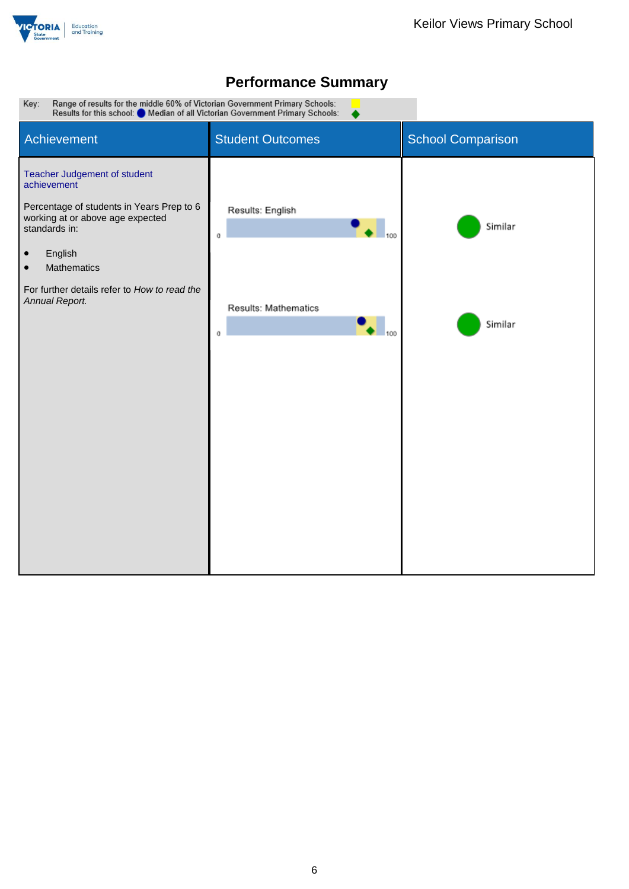

# Range of results for the middle 60% of Victorian Government Primary Schools:<br>Results for this school: O Median of all Victorian Government Primary Schools: Key: Student Outcomes Student Outcomes Achievement Teacher Judgement of student achievement Percentage of students in Years Prep to 6 Results: English working at or above age expected  $\begin{array}{|c|c|}\n\hline\n\end{array}$  ,  $_{100}$ Similar standards in:  $\mathfrak o$ **•** English **•** Mathematics For further details refer to *How to read the Annual Report.* **Results: Mathematics**  $\bullet$  ,  $\bullet$ Similar  $\,0\,$

# **Performance Summary**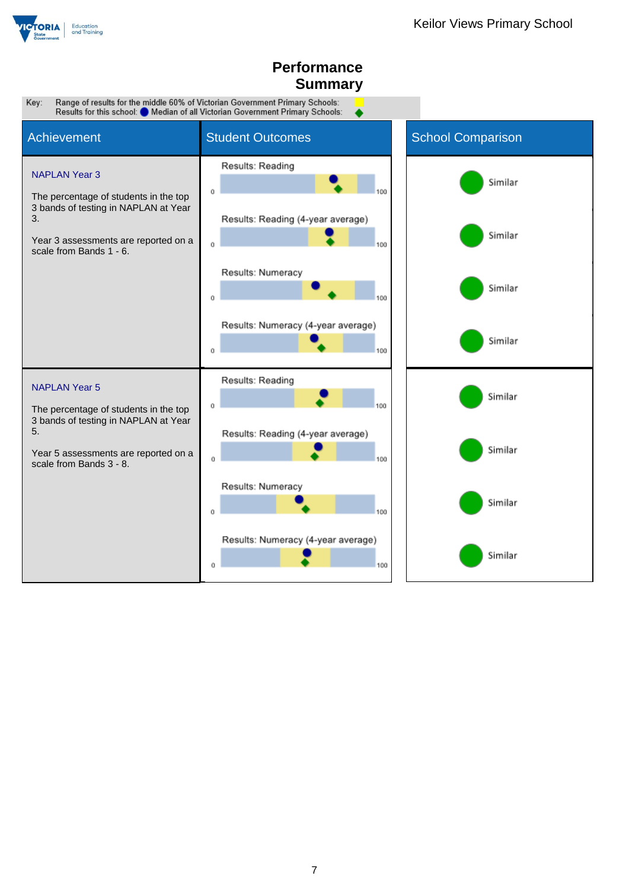

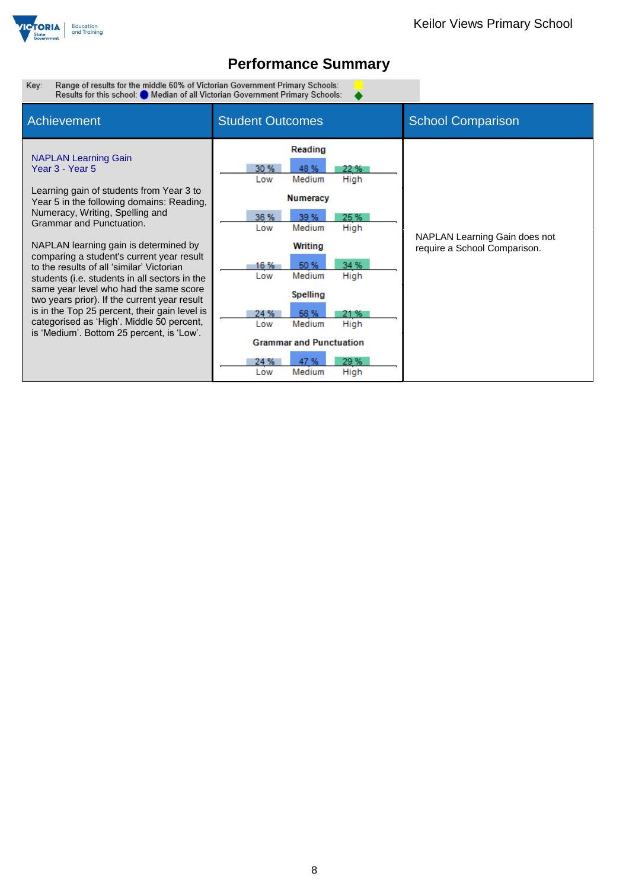

 $\bullet$ 

Range of results for the middle 60% of Victorian Government Primary Schools:<br>Results for this school: ● Median of all Victorian Government Primary Schools: Key:

| Achievement                                                                                                                                                                                                                                                                                                                                                                                                                                                                                                                                                                                                                     | <b>Student Outcomes</b>                                                                                                                                                                                                                                                                                                                  | <b>School Comparison</b>                                      |
|---------------------------------------------------------------------------------------------------------------------------------------------------------------------------------------------------------------------------------------------------------------------------------------------------------------------------------------------------------------------------------------------------------------------------------------------------------------------------------------------------------------------------------------------------------------------------------------------------------------------------------|------------------------------------------------------------------------------------------------------------------------------------------------------------------------------------------------------------------------------------------------------------------------------------------------------------------------------------------|---------------------------------------------------------------|
| <b>NAPLAN Learning Gain</b><br>Year 3 - Year 5<br>Learning gain of students from Year 3 to<br>Year 5 in the following domains: Reading,<br>Numeracy, Writing, Spelling and<br>Grammar and Punctuation.<br>NAPLAN learning gain is determined by<br>comparing a student's current year result<br>to the results of all 'similar' Victorian<br>students (i.e. students in all sectors in the<br>same year level who had the same score<br>two years prior). If the current year result<br>is in the Top 25 percent, their gain level is<br>categorised as 'High'. Middle 50 percent,<br>is 'Medium'. Bottom 25 percent, is 'Low'. | Reading<br>30 %<br>48 %<br>22 %<br>Medium<br>High<br>Low<br><b>Numeracy</b><br>36 %<br>39 %<br>25 %<br>Medium<br>High<br>Low<br>Writing<br>34 %<br>50 %<br>16 %<br>Medium<br>High<br>Low<br>Spelling<br>56 %<br>24 %<br>21 %<br>Medium<br>High<br>Low<br><b>Grammar and Punctuation</b><br>29 %<br>47 %<br>24 %<br>Medium<br>High<br>Low | NAPLAN Learning Gain does not<br>require a School Comparison. |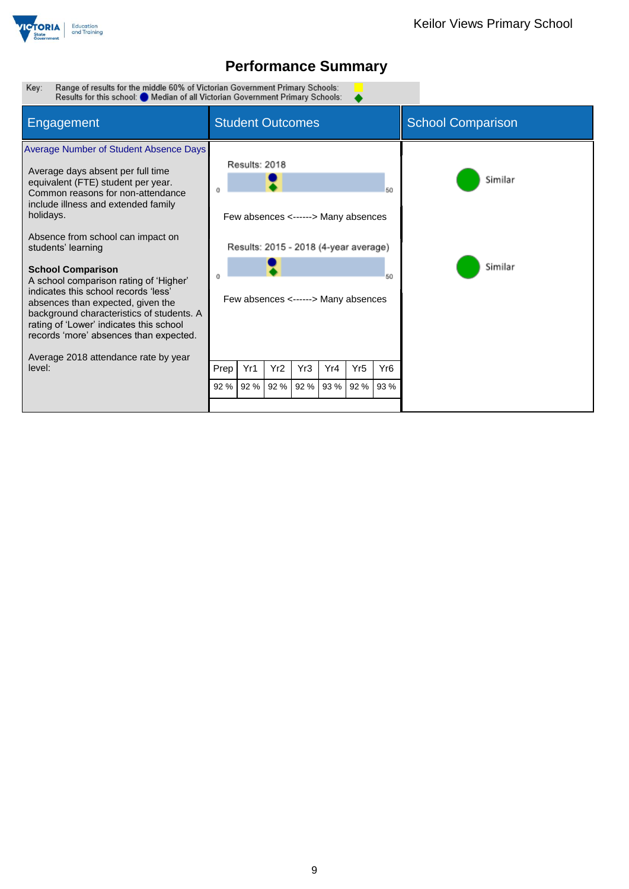

Range of results for the middle 60% of Victorian Government Primary Schools:<br>Results for this school: O Median of all Victorian Government Primary Schools: Key:

| Engagement                                                                                                                                                                                                                                                                                                                                                                                                                                                                                                                                                 | <b>Student Outcomes</b> |                                                                                                                                      |                 |      |      |                 | <b>School Comparison</b> |                    |
|------------------------------------------------------------------------------------------------------------------------------------------------------------------------------------------------------------------------------------------------------------------------------------------------------------------------------------------------------------------------------------------------------------------------------------------------------------------------------------------------------------------------------------------------------------|-------------------------|--------------------------------------------------------------------------------------------------------------------------------------|-----------------|------|------|-----------------|--------------------------|--------------------|
| Average Number of Student Absence Days<br>Average days absent per full time<br>equivalent (FTE) student per year.<br>Common reasons for non-attendance<br>include illness and extended family<br>holidays.<br>Absence from school can impact on<br>students' learning<br><b>School Comparison</b><br>A school comparison rating of 'Higher'<br>indicates this school records 'less'<br>absences than expected, given the<br>background characteristics of students. A<br>rating of 'Lower' indicates this school<br>records 'more' absences than expected. |                         | Results: 2018<br>Few absences <------> Many absences<br>Results: 2015 - 2018 (4-year average)<br>Few absences <------> Many absences |                 |      |      |                 | 50<br>50                 | Similar<br>Similar |
| Average 2018 attendance rate by year<br>level:                                                                                                                                                                                                                                                                                                                                                                                                                                                                                                             | Prep                    | Yr1                                                                                                                                  | Yr <sub>2</sub> | Yr3  | Yr4  | Yr <sub>5</sub> | Yr <sub>6</sub>          |                    |
|                                                                                                                                                                                                                                                                                                                                                                                                                                                                                                                                                            | 92 %                    | 92 %                                                                                                                                 | 92 %            | 92 % | 93 % | 92 %            | 93 %                     |                    |
|                                                                                                                                                                                                                                                                                                                                                                                                                                                                                                                                                            |                         |                                                                                                                                      |                 |      |      |                 |                          |                    |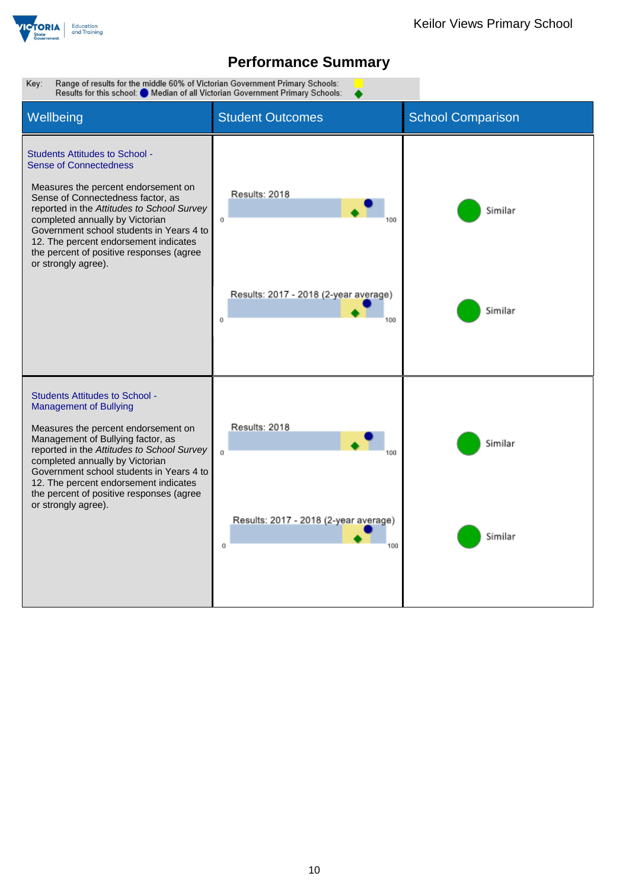

Key: Range of results for the middle 60% of Victorian Government Primary Schools: Results for this school: Median of all Victorian Government Primary Schools: Wellbeing **Student Outcomes** School Comparison Students Attitudes to School - Sense of Connectedness Measures the percent endorsement on Results: 2018 Sense of Connectedness factor, as reported in the *Attitudes to School Survey* Similar completed annually by Victorian  $\mathfrak{o}$ 100 Government school students in Years 4 to 12. The percent endorsement indicates the percent of positive responses (agree or strongly agree). Results: 2017 - 2018 (2-year average) Similar  $\mathbf{o}$ 100 Students Attitudes to School - Management of Bullying Results: 2018 Measures the percent endorsement on Management of Bullying factor, as Similar reported in the *Attitudes to School Survey*  $\alpha$ 100 completed annually by Victorian Government school students in Years 4 to 12. The percent endorsement indicates the percent of positive responses (agree or strongly agree).Results: 2017 - 2018 (2-year average) Similar  $\alpha$ 100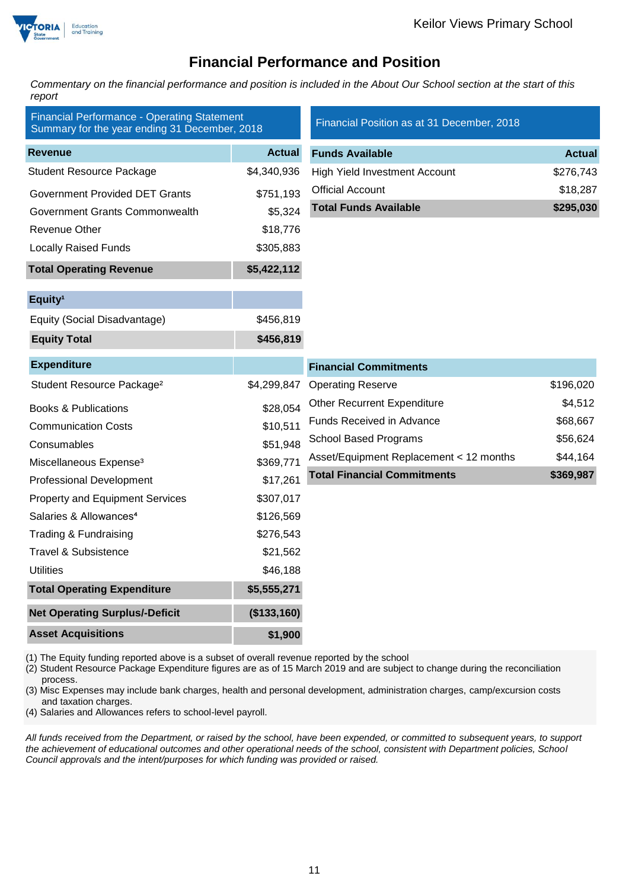

### **Financial Performance and Position**

*Commentary on the financial performance and position is included in the About Our School section at the start of this report*

| <b>Financial Performance - Operating Statement</b><br>Summary for the year ending 31 December, 2018 |               | Financial Position as at 31 December, 2018 |               |  |  |
|-----------------------------------------------------------------------------------------------------|---------------|--------------------------------------------|---------------|--|--|
| <b>Revenue</b>                                                                                      | <b>Actual</b> | <b>Funds Available</b>                     | <b>Actual</b> |  |  |
| <b>Student Resource Package</b>                                                                     | \$4,340,936   | <b>High Yield Investment Account</b>       | \$276,743     |  |  |
| <b>Government Provided DET Grants</b>                                                               | \$751,193     | <b>Official Account</b>                    | \$18,287      |  |  |
| Government Grants Commonwealth                                                                      | \$5,324       | <b>Total Funds Available</b>               | \$295,030     |  |  |
| Revenue Other                                                                                       | \$18,776      |                                            |               |  |  |
| <b>Locally Raised Funds</b>                                                                         | \$305,883     |                                            |               |  |  |
| <b>Total Operating Revenue</b>                                                                      | \$5,422,112   |                                            |               |  |  |
| Equity <sup>1</sup>                                                                                 |               |                                            |               |  |  |
| Equity (Social Disadvantage)                                                                        | \$456,819     |                                            |               |  |  |
| <b>Equity Total</b>                                                                                 | \$456,819     |                                            |               |  |  |
| <b>Expenditure</b>                                                                                  |               | <b>Financial Commitments</b>               |               |  |  |
| Student Resource Package <sup>2</sup>                                                               | \$4,299,847   | <b>Operating Reserve</b>                   | \$196,020     |  |  |
| <b>Books &amp; Publications</b>                                                                     | \$28,054      | <b>Other Recurrent Expenditure</b>         | \$4,512       |  |  |
| <b>Communication Costs</b>                                                                          | \$10,511      | Funds Received in Advance                  | \$68,667      |  |  |
| Consumables                                                                                         | \$51,948      | <b>School Based Programs</b>               | \$56,624      |  |  |
| Miscellaneous Expense <sup>3</sup>                                                                  | \$369,771     | Asset/Equipment Replacement < 12 months    | \$44,164      |  |  |
| <b>Professional Development</b>                                                                     | \$17,261      | <b>Total Financial Commitments</b>         | \$369,987     |  |  |
| <b>Property and Equipment Services</b>                                                              | \$307,017     |                                            |               |  |  |
| Salaries & Allowances <sup>4</sup>                                                                  | \$126,569     |                                            |               |  |  |
| Trading & Fundraising                                                                               | \$276,543     |                                            |               |  |  |
| <b>Travel &amp; Subsistence</b>                                                                     | \$21,562      |                                            |               |  |  |
| <b>Utilities</b>                                                                                    | \$46,188      |                                            |               |  |  |
| <b>Total Operating Expenditure</b>                                                                  | \$5,555,271   |                                            |               |  |  |
| <b>Net Operating Surplus/-Deficit</b>                                                               | (\$133,160)   |                                            |               |  |  |
| <b>Asset Acquisitions</b>                                                                           | \$1,900       |                                            |               |  |  |

(1) The Equity funding reported above is a subset of overall revenue reported by the school

(2) Student Resource Package Expenditure figures are as of 15 March 2019 and are subject to change during the reconciliation process.

(3) Misc Expenses may include bank charges, health and personal development, administration charges, camp/excursion costs and taxation charges.

(4) Salaries and Allowances refers to school-level payroll.

*All funds received from the Department, or raised by the school, have been expended, or committed to subsequent years, to support the achievement of educational outcomes and other operational needs of the school, consistent with Department policies, School Council approvals and the intent/purposes for which funding was provided or raised.*